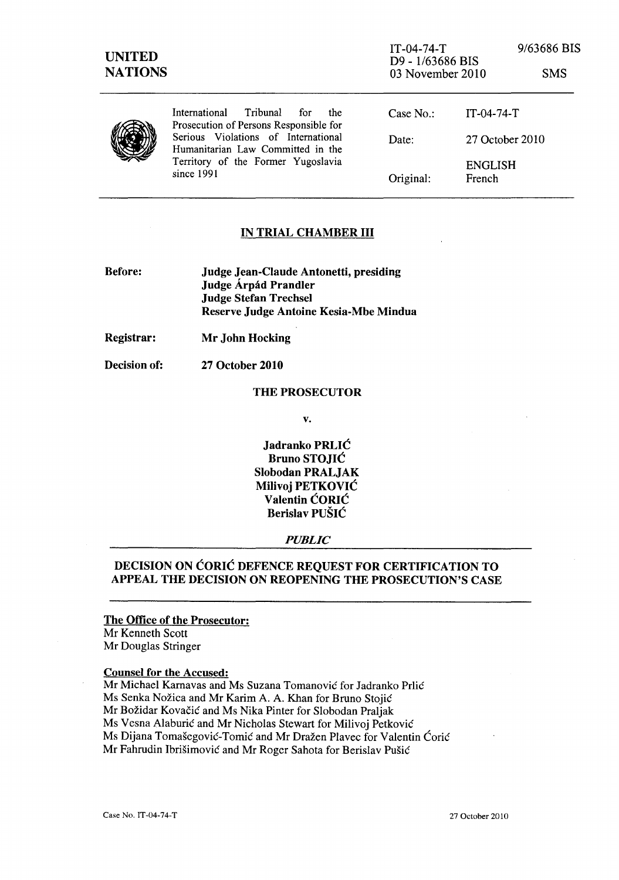| <b>UNITED</b><br><b>NATIONS</b> |                                                                                                                                                                                                                     | $IT-04-74-T$<br>D9 - 1/63686 BIS<br>03 November 2010 |                          | 9/63686 BIS<br><b>SMS</b> |
|---------------------------------|---------------------------------------------------------------------------------------------------------------------------------------------------------------------------------------------------------------------|------------------------------------------------------|--------------------------|---------------------------|
|                                 | Tribunal<br>International<br>for<br>the<br>Prosecution of Persons Responsible for<br>Serious Violations of International<br>Humanitarian Law Committed in the<br>Territory of the Former Yugoslavia<br>since $1991$ | Case $No.$ :                                         | $IT-04-74-T$             |                           |
|                                 |                                                                                                                                                                                                                     | Date:                                                | 27 October 2010          |                           |
|                                 |                                                                                                                                                                                                                     | Original:                                            | <b>ENGLISH</b><br>French |                           |

# IN TRIAL CHAMBER III

Before: Judge Jean-Claude Antonetti, presiding Judge Árpád Prandler Judge Stefan Trechsel Reserve Judge Antoine Kesia-Mbe Mindua

Registrar: Mr John Hocking

Decision of: 27 October 2010

#### THE PROSECUTOR

v.

Jadranko PRLIC Bruno STOJIC Slobodan PRALJAK Milivoj PETKOVIC Valentin CORIC Berislav PUŠIĆ

## *PUBLIC*

# DECISION ON CORIC DEFENCE REQUEST FOR CERTIFICATION TO APPEAL THE DECISION ON REOPENING THE PROSECUTION'S CASE

#### The Office of the Prosecutor:

Mr Kenneth Scott Mr Douglas Stringer

#### Counsel for the Accused:

Mr Michael Karnavas and Ms Suzana Tomanović for Jadranko Prlić Ms Senka Nožica and Mr Karim A. A. Khan for Bruno Stojić Mr Božidar Kovačić and Ms Nika Pinter for Slobodan Praljak Ms Vesna Alaburić and Mr Nicholas Stewart for Milivoj Petković Ms Dijana Tomašegović-Tomić and Mr Dražen Plavec for Valentin Ćorić Mr Fahrudin Ibrisimovic and Mr Roger Sahota for Berislav Pusic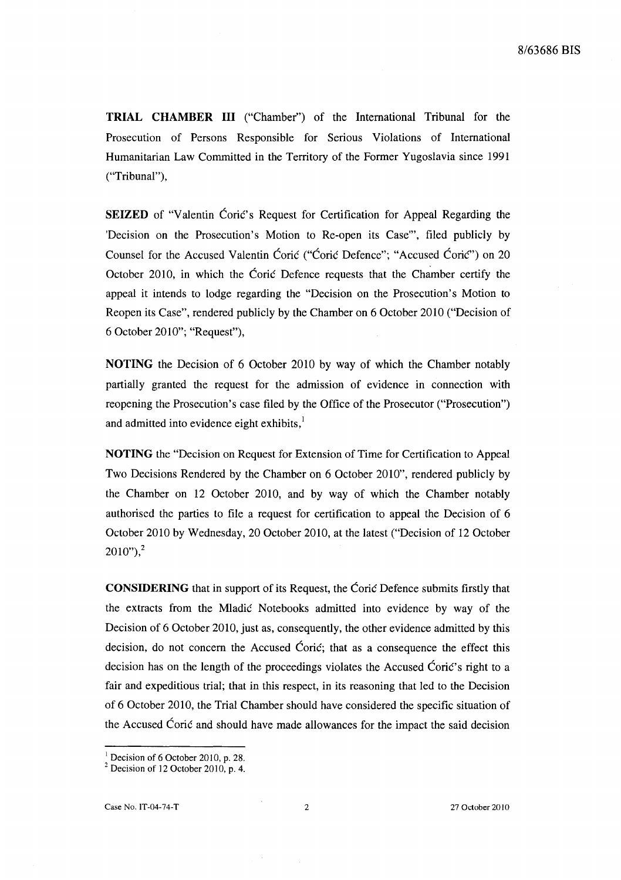**TRIAL CHAMBER III** ("Chamber") of the International Tribunal for the Prosecution of Persons Responsible for Serious Violations of International Humanitarian Law Committed in the Territory of the Former Yugoslavia since 1991 ("Tribunal"),

**SEIZED** of "Valentin Coric's Request for Certification for Appeal Regarding the 'Decision on the Prosecution's Motion to Re-open its Case"', filed publicly by Counsel for the Accused Valentin Corie ("Corie Defence"; "Accused Corie") on 20 October 2010, in which the Corie Defence requests that the Chamber certify the appeal it intends to lodge regarding the "Decision on the Prosecution's Motion to Reopen its Case", rendered publicly by the Chamber on 6 October 2010 ("Decision of 6 October 2010"; "Request"),

**NOTING** the Decision of 6 October 2010 by way of which the Chamber notably partially granted the request for the admission of evidence in connection with reopening the Prosecution's case filed by the Office of the Prosecutor ("Prosecution") and admitted into evidence eight exhibits, $<sup>1</sup>$ </sup>

**NOTING** the "Decision on Request for Extension of Time for Certification to Appeal Two Decisions Rendered by the Chamber on 6 October 2010", rendered publicly by the Chamber on 12 October 2010, and by way of which the Chamber notably authorised the parties to file a request for certification to appeal the Decision of 6 October 2010 by Wednesday, 20 October 2010, at the latest ("Decision of 12 October  $2010"$ <sup>2</sup>

**CONSIDERING** that in support of its Request, the Corie Defence submits firstly that the extracts from the Mladie Notebooks admitted into evidence by way of the Decision of 6 October 2010, just as, consequently, the other evidence admitted by this decision, do not concern the Accused Corie; that as a consequence the effect this decision has on the length of the proceedings violates the Accused Corie's right to a fair and expeditious trial; that in this respect, in its reasoning that led to the Decision of 6 October 2010, the Trial Chamber should have considered the specific situation of the Accused Corie and should have made allowances for the impact the said decision

 $<sup>1</sup>$  Decision of 6 October 2010, p. 28.</sup>

 $2$  Decision of 12 October 2010, p. 4.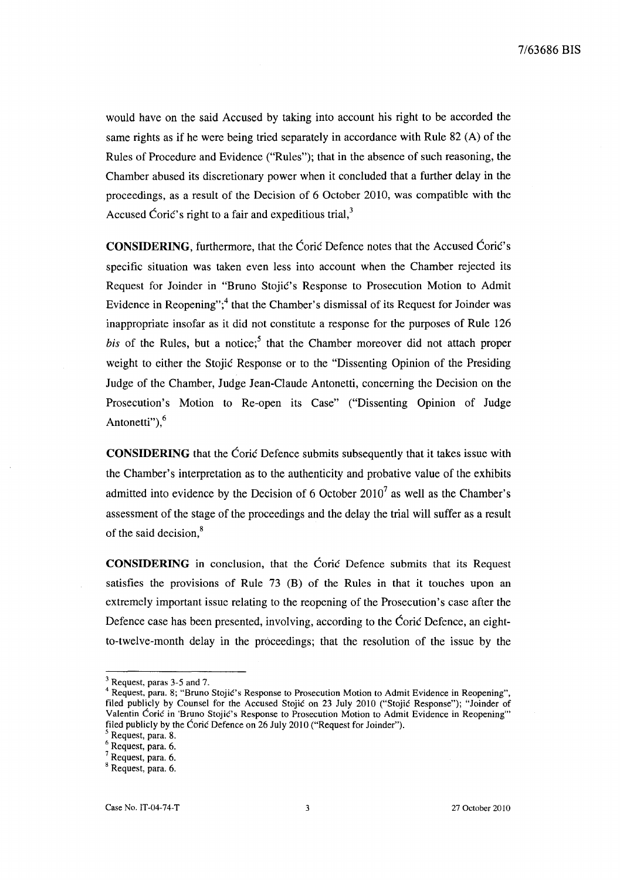would have on the said Accused by taking into account his right to be accorded the same rights as if he were being tried separately in accordance with Rule 82 (A) of the Rules of Procedure and Evidence ("Rules"); that in the absence of such reasoning, the Chamber abused its discretionary power when it concluded that a further delay in the proceedings, as a result of the Decision of 6 October 2010, was compatible with the Accused Coric's right to a fair and expeditious trial, $3$ 

**CONSIDERING,** furthermore, that the Corie Defence notes that the Accused Corie's specific situation was taken even less into account when the Chamber rejected its Request for Joinder in "Bmno Stojie's Response to Prosecution Motion to Admit Evidence in Reopening";<sup>4</sup> that the Chamber's dismissal of its Request for Joinder was inappropriate insofar as it did not constitute a response for the purposes of Rule 126 *bis* of the Rules, but a notice;<sup>5</sup> that the Chamber moreover did not attach proper weight to either the Stojic Response or to the "Dissenting Opinion of the Presiding Judge of the Chamber, Judge Jean-Claude Antonetti, concerning the Decision on the Prosecution's Motion to Re-open its Case" ("Dissenting Opinion of Judge Antonetti"),<sup>6</sup>

**CONSIDERING** that the Coric Defence submits subsequently that it takes issue with the Chamber's interpretation as to the authenticity and probative value of the exhibits admitted into evidence by the Decision of 6 October 2010<sup>7</sup> as well as the Chamber's assessment of the stage of the proceedings and the delay the trial will suffer as a result of the said decision.<sup>8</sup>

**CONSIDERING** in conclusion, that the Corie Defence submits that its Request satisfies the provisions of Rule 73 (B) of the Rules in that it touches upon an extremely important issue relating to the reopening of the Prosecution's case after the Defence case has been presented, involving, according to the Coric Defence, an eightto-twelve-month delay in the proceedings; that the resolution of the issue by the

<sup>3</sup> Request, paras 3-5 and 7.

<sup>&</sup>lt;sup>4</sup> Request, para. 8; "Bruno Stojić's Response to Prosecution Motion to Admit Evidence in Reopening", filed publicly by Counsel for the Accused Stojić on 23 July 2010 ("Stojić Response"); "Joinder of Valentin Coric in 'Bruno Stojic's Response to Prosecution Motion to Admit Evidence in Reopening" filed publicly by the Coric Defence on 26 July 2010 ("Request for Joinder").

<sup>5</sup> Request, para. 8.

Request, para. 6.

Request, para. 6.

 $8$  Request, para. 6.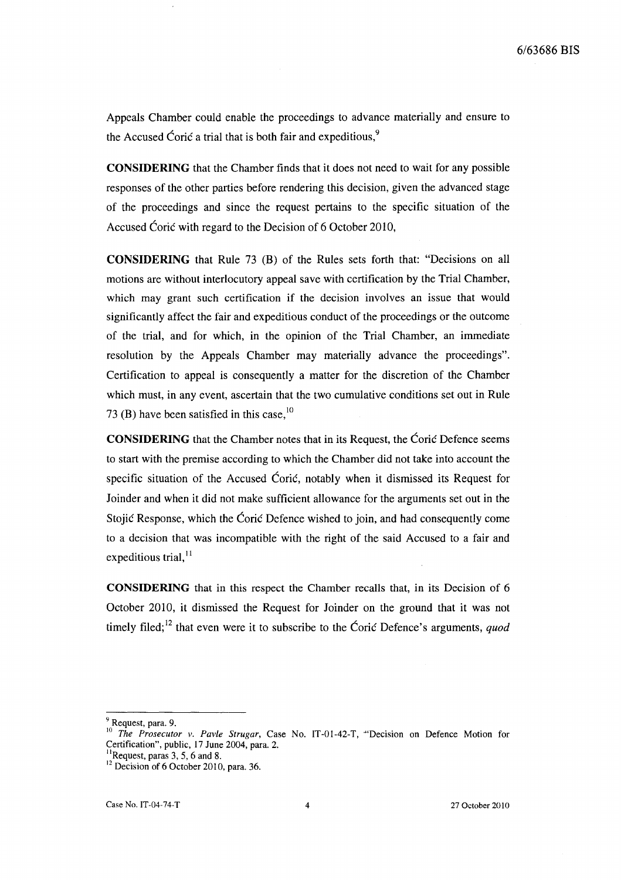Appeals Chamber could enable the proceedings to advance materially and ensure to the Accused Coric a trial that is both fair and expeditious,<sup>9</sup>

**CONSIDERING** that the Chamber finds that it does not need to wait for any possible responses of the other parties before rendering this decision, given the advanced stage of the proceedings and since the request pertains to the specific situation of the Accused Coric with regard to the Decision of 6 October 2010,

**CONSIDERING** that Rule 73 (B) of the Rules sets forth that: "Decisions on all motions are without interlocutory appeal save with certification by the Trial Chamber, which may grant such certification if the decision involves an issue that would significantly affect the fair and expeditious conduct of the proceedings or the outcome of the trial, and for which, in the opinion of the Trial Chamber, an immediate resolution by the Appeals Chamber may materially advance the proceedings". Certification to appeal is consequently a matter for the discretion of the Chamber which must, in any event, ascertain that the two cumulative conditions set out in Rule 73 (B) have been satisfied in this case, $^{10}$ 

**CONSIDERING** that the Chamber notes that in its Request, the Corie Defence seems to start with the premise according to which the Chamber did not take into account the specific situation of the Accused Coric, notably when it dismissed its Request for Joinder and when it did not make sufficient allowance for the arguments set out in the Stojic Response, which the Corie Defence wished to join, and had consequently come to a decision that was incompatible with the right of the said Accused to a fair and expeditious trial, $^{11}$ 

**CONSIDERING** that in this respect the Chamber recalls that, in its Decision of 6 October 2010, it dismissed the Request for Joinder on the ground that it was not timely filed;<sup>12</sup> that even were it to subscribe to the Coric Defence's arguments, *quod* 

<sup>&</sup>lt;sup>9</sup> Request, para. 9.

<sup>&</sup>lt;sup>10</sup> The Prosecutor v. Pavle Strugar, Case No. IT-01-42-T, "Decision on Defence Motion for Certification", public, 17 June 2004, para. 2.

 $\mathrm{^{11}Request}$ , paras 3, 5, 6 and 8.

 $12$  Decision of 6 October 2010, para. 36.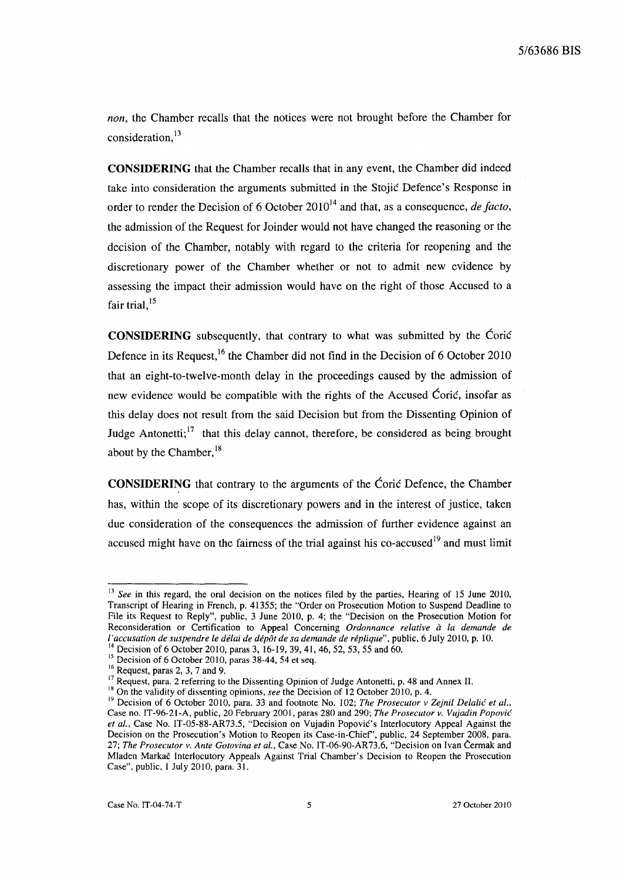*non,* the Chamber recalls that the notices were not brought before the Chamber for consideration,<sup>13</sup>

**CONSIDERING** that the Chamber recalls that in any event, the Chamber did indeed take into consideration the arguments submitted in the Stojie Defence's Response in order to render the Decision of 6 October 2010<sup>14</sup> and that, as a consequence, *de facto*, the admission of the Request for Joinder would not have changed the reasoning or the decision of the Chamber, notably with regard to the criteria for reopening and the discretionary power of the Chamber whether or not to admit new evidence by assessing the impact their admission would have on the right of those Accused to a fair trial. $15$ 

**CONSIDERING** subsequently, that contrary to what was submitted by the Corie Defence in its Request,<sup>16</sup> the Chamber did not find in the Decision of 6 October 2010 that an eight-to-twelve-month delay in the proceedings caused by the admission of new evidence would be compatible with the rights of the Accused Coric, insofar as this delay does not result from the said Decision but from the Dissenting Opinion of Judge Antonetti;<sup>17</sup> that this delay cannot, therefore, be considered as being brought about by the Chamber,  $^{18}$ 

**CONSIDERING** that contrary to the arguments of the Corie Defence, the Chamber has, within the scope of its discretionary powers and in the interest of justice, taken due consideration of the consequences the admission of further evidence against an accused might have on the fairness of the trial against his co-accused<sup>19</sup> and must limit

<sup>&</sup>lt;sup>13</sup> See in this regard, the oral decision on the notices filed by the parties, Hearing of 15 June 2010, Transcript of Hearing in French, p. 41355; the "Order on Prosecution Motion to Suspend Deadline to File its Request to Reply", public, 3 June 2010, p. 4; the "Decision on the Prosecution Motion for Reconsideration or Certification to Appeal Concerning *Ordonnance relative a la demande de l'accusation de suspendre le délai de dépôt de sa demande de réplique"*, public, 6 July 2010, p. 10.

<sup>&</sup>lt;sup>14</sup> Decision of 6 October 2010, paras 3, 16-19, 39, 41, 46, 52, 53, 55 and 60.

 $15$  Decision of 6 October 2010, paras 38-44, 54 et seq.

<sup>&</sup>lt;sup>16</sup> Request, paras 2, 3, 7 and 9.

<sup>&</sup>lt;sup>17</sup> Request, para. 2 referring to the Dissenting Opinion of Judge Antonetti, p. 48 and Annex II.

<sup>&</sup>lt;sup>18</sup> On the validity of dissenting opinions, *see* the Decision of 12 October 2010, p. 4.

<sup>&</sup>lt;sup>19</sup> Decision of 6 October 2010, para. 33 and footnote No. 102; *The Prosecutor v Zejnil Delalić et al.*, Case no. IT-96-21-A, public, 20 February 2001, paras 280 and 290; *The Prosecutor v. Vujadin Popovic et aI.,* Case No. IT-05-88-AR73.5, "Decision on Vujadin Popovic's Interlocutory Appeal Against the Decision on the Prosecution's Motion to Reopen its Case-in-Chief', public, 24 September 2008, para. *27; The Prosecutor v. Ante Gotovina et al.,* Case No. IT-06-90-AR73.6, "Decision on Ivan Cermak and Mladen Markac Interlocutory Appeals Against Trial Chamber's Decision to Reopen the Prosecution Case", public, I July 2010, para. 31.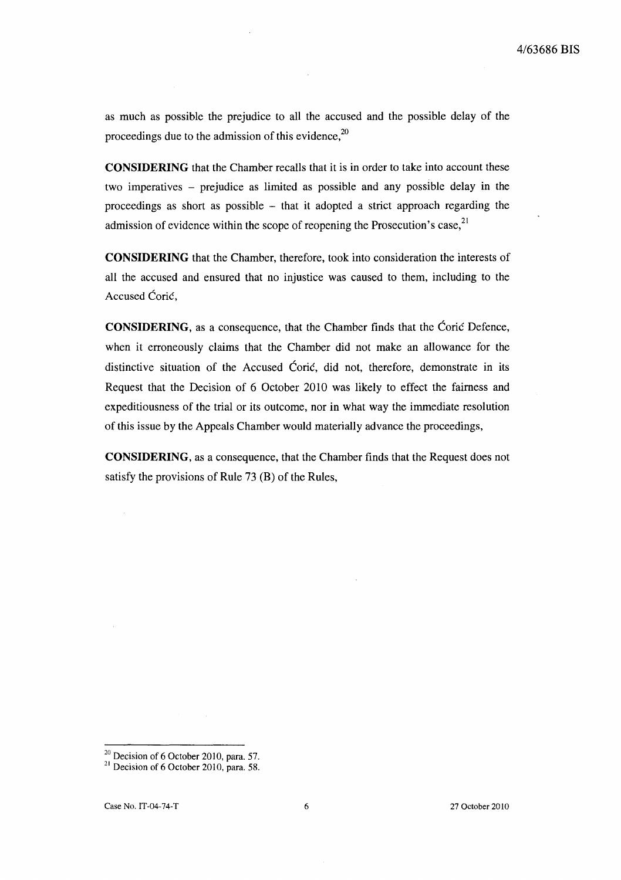as much as possible the prejudice to all the accused and the possible delay of the proceedings due to the admission of this evidence.<sup>20</sup>

**CONSIDERING** that the Chamber recalls that it is in order to take into account these two imperatives - prejudice as limited as possible and any possible delay in the proceedings as short as possible - that it adopted a strict approach regarding the admission of evidence within the scope of reopening the Prosecution's case,  $2<sup>1</sup>$ 

**CONSIDERING** that the Chamber, therefore, took into consideration the interests of all the accused and ensured that no injustice was caused to them, including to the Accused Coric,

**CONSIDERING,** as a consequence, that the Chamber finds that the Corie Defence, when it erroneously claims that the Chamber did not make an allowance for the distinctive situation of the Accused Coric, did not, therefore, demonstrate in its Request that the Decision of 6 October 2010 was likely to effect the fairness and expeditiousness of the trial or its outcome, nor in what way the immediate resolution of this issue by the Appeals Chamber would materially advance the proceedings,

**CONSIDERING,** as a consequence, that the Chamber finds that the Request does not satisfy the provisions of Rule 73 (B) of the Rules,

 $^{20}$  Decision of 6 October 2010, para. 57.

 $2<sup>1</sup>$  Decision of 6 October 2010, para. 58.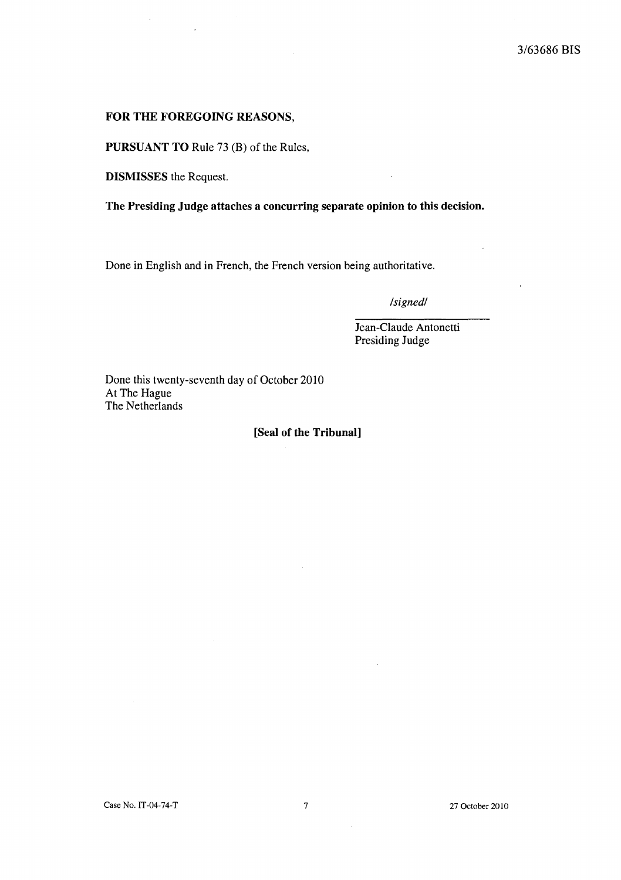#### FOR THE FOREGOING REASONS,

PURSUANT TO Rule 73 (B) of the Rules,

DISMISSES the Request.

 $\overline{\phantom{a}}$ 

The Presiding Judge attaches a concurring separate opinion to this decision.

Done in English and in French, the French version being authoritative.

*/signed/* 

Jean-Claude Antonetti Presiding Judge

Done this twenty-seventh day of October 2010 At The Hague The Netherlands

#### [Seal of the Tribunal]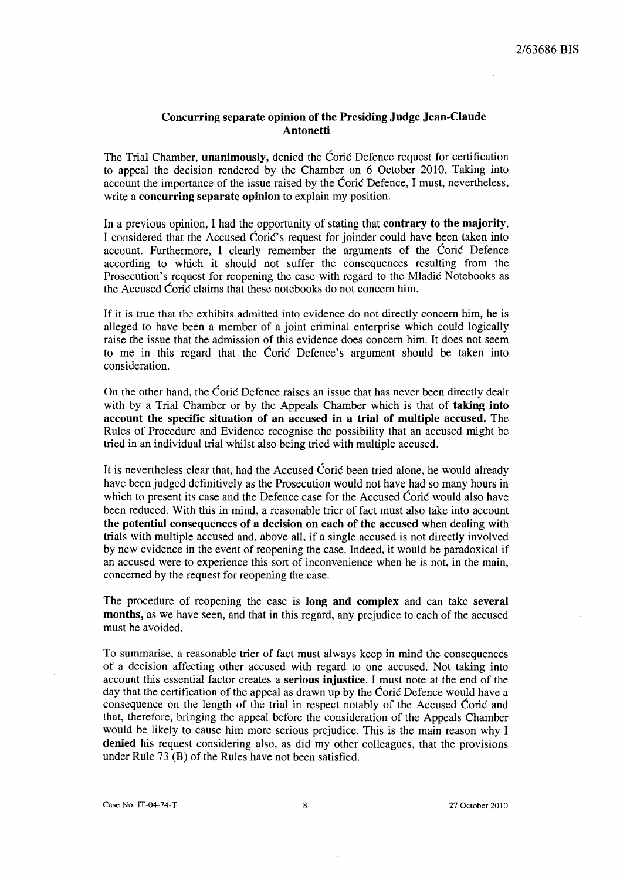## Concurring separate opinion of the Presiding Judge Jean-Claude **Antonetti**

The Trial Chamber, **unanimously**, denied the Coric Defence request for certification to appeal the decision rendered by the Chamber on 6 October 2010. Taking into account the importance of the issue raised by the Ćorić Defence, I must, nevertheless, write a **concurring separate opinion** to explain my position.

In a previous opinion, I had the opportunity of stating that **contrary to the majority**, I considered that the Accused Coric's request for joinder could have been taken into account. Furthermore, I clearly remember the arguments of the Corie Defence according to which it should not suffer the consequences resulting from the Prosecution's request for reopening the case with regard to the Mladic Notebooks as the Accused Coric claims that these notebooks do not concern him.

If it is true that the exhibits admitted into evidence do not directly concern him, he is alleged to have been a member of a joint criminal enterprise which could logically raise the issue that the admission of this evidence does concern him. It does not seem to me in this regard that the Corie Defence's argument should be taken into consideration.

On the other hand, the Ćorić Defence raises an issue that has never been directly dealt with by a Trial Chamber or by the Appeals Chamber which is that of **taking into** account the specific situation of an accused in a trial of multiple accused. The Rules of Procedure and Evidence recognise the possibility that an accused might be tried in an individual trial whilst also being tried with mUltiple accused.

It is nevertheless clear that, had the Accused Coric been tried alone, he would already have been judged definitively as the Prosecution would not have had so many hours in which to present its case and the Defence case for the Accused Cori $\acute{\rm{c}}$  would also have been reduced. With this in mind, a reasonable trier of fact must also take into account the potential consequences of a decision on each of the accused when dealing with trials with multiple accused and, above all, if a single accused is not directly involved by new evidence in the event of reopening the case. Indeed, it would be paradoxical if an accused were to experience this sort of inconvenience when he is not, in the main, concerned by the request for reopening the case.

The procedure of reopening the case is long and complex and can take several months, as we have seen, and that in this regard, any prejudice to each of the accused must be avoided.

To summarise, a reasonable trier of fact must always keep in mind the consequences of a decision affecting other accused with regard to one accused. Not taking into account this essential factor creates a serious injustice. I must note at the end of the day that the certification of the appeal as drawn up by the Coric Defence would have a consequence on the length of the trial in respect notably of the Accused Corie and that, therefore, bringing the appeal before the consideration of the Appeals Chamber would be likely to cause him more serious prejudice. This is the main reason why I denied his request considering also, as did my other colleagues, that the provisions under Rule 73 (B) of the Rules have not been satisfied.